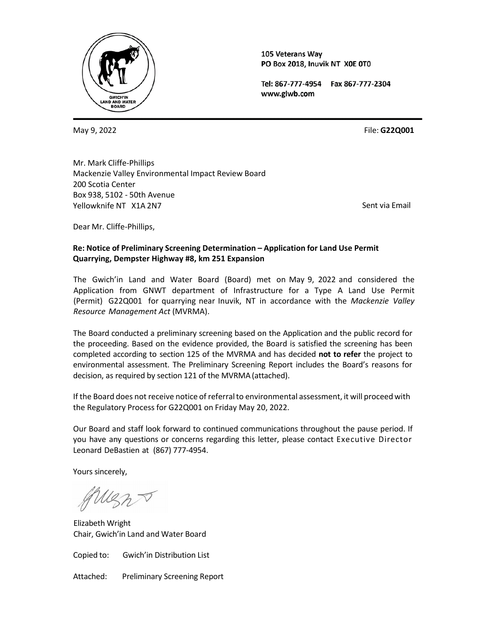

105 Veterans Way PO Box 2018, Inuvik NT X0E 0T0

Tel: 867-777-4954 Fax 867-777-2304 www.glwb.com

May 9, 2022

File: **G22Q001**

Mr. Mark Cliffe-Phillips Mackenzie Valley Environmental Impact Review Board 200 Scotia Center Box 938, 5102 - 50th Avenue Yellowknife NT X1A 2N7

Sent via Email

Dear Mr. Cliffe-Phillips,

# **Re: Notice of Preliminary Screening Determination – Application for Land Use Permit Quarrying, Dempster Highway #8, km 251 Expansion**

The Gwich'in Land and Water Board (Board) met on May 9, 2022 and considered the Application from GNWT department of Infrastructure for a Type A Land Use Permit (Permit) G22Q001 for quarrying near Inuvik, NT in accordance with the *Mackenzie Valley Resource Management Act* (MVRMA).

The Board conducted a preliminary screening based on the Application and the public record for the proceeding. Based on the evidence provided, the Board is satisfied the screening has been completed according to section 125 of the MVRMA and has decided **not to refer** the project to environmental assessment. The Preliminary Screening Report includes the Board's reasons for decision, as required by section 121 of the MVRMA(attached).

If the Board does not receive notice of referral to environmental assessment, it will proceed with the Regulatory Process for G22Q001 on Friday May 20, 2022.

Our Board and staff look forward to continued communications throughout the pause period. If you have any questions or concerns regarding this letter, please contact Executive Director Leonard DeBastien at (867) 777-4954.

Yours sincerely,

Elizabeth Wright Chair, Gwich'in Land and Water Board

Copied to: Gwich'in Distribution List

Attached: Preliminary Screening Report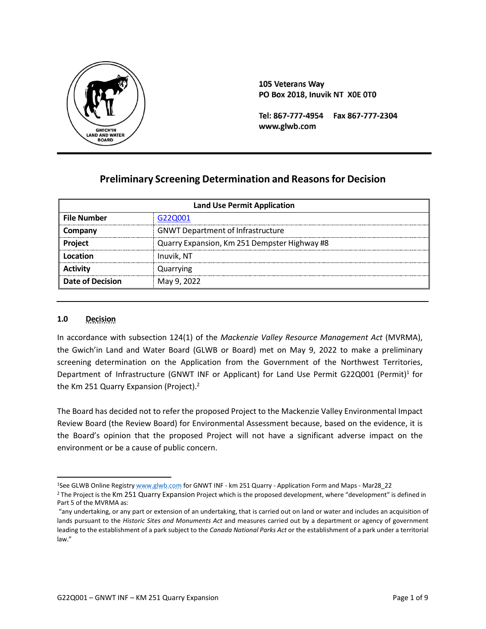

105 Veterans Way PO Box 2018, Inuvik NT X0E 0T0

Tel: 867-777-4954 Fax 867-777-2304 www.glwb.com

# **Preliminary Screening Determination and Reasons for Decision**

| <b>Land Use Permit Application</b> |                                              |  |
|------------------------------------|----------------------------------------------|--|
| <b>File Number</b>                 | G22Q001                                      |  |
| Company                            | <b>GNWT Department of Infrastructure</b>     |  |
| Project                            | Quarry Expansion, Km 251 Dempster Highway #8 |  |
| Location                           | Inuvik, NT                                   |  |
| <b>Activity</b>                    | Quarrying                                    |  |
| <b>Date of Decision</b>            | May 9, 2022                                  |  |

### **1.0 Decision**

In accordance with subsection 124(1) of the *Mackenzie Valley Resource Management Act* (MVRMA), the Gwich'in Land and Water Board (GLWB or Board) met on May 9, 2022 to make a preliminary screening determination on the Application from the Government of the Northwest Territories, Department of Infrastructure (GNWT INF or Applicant) for Land Use Permit G22Q001 (Permit)<sup>1</sup> for the Km 251 Quarry Expansion (Project).<sup>2</sup>

The Board has decided not to refer the proposed Project to the Mackenzie Valley Environmental Impact Review Board (the Review Board) for Environmental Assessment because, based on the evidence, it is the Board's opinion that the proposed Project will not have a significant adverse impact on the environment or be a cause of public concern.

<sup>&</sup>lt;sup>1</sup>See GLWB Online Registry [www.glwb.com](http://www.glwb.com/) for GNWT [INF - km 251 Quarry - Application Form](http://registry.mvlwb.ca/Documents/G22Q001/GNWT%20INF%20-%20km%20251%20Quarry%20-%20Application%20Form%20and%20Maps%20-%20Mar28_22.pdf) and Maps - Mar28\_22

<sup>&</sup>lt;sup>2</sup> The Project is the Km 251 Quarry Expansion Project which is the proposed development, where "development" is defined in Part 5 of the MVRMA as:

<sup>&</sup>quot;any undertaking, or any part or extension of an undertaking, that is carried out on land or water and includes an acquisition of lands pursuant to the *Historic Sites and Monuments Act* and measures carried out by a department or agency of government leading to the establishment of a park subject to the *Canada National Parks Act* or the establishment of a park under a territorial law."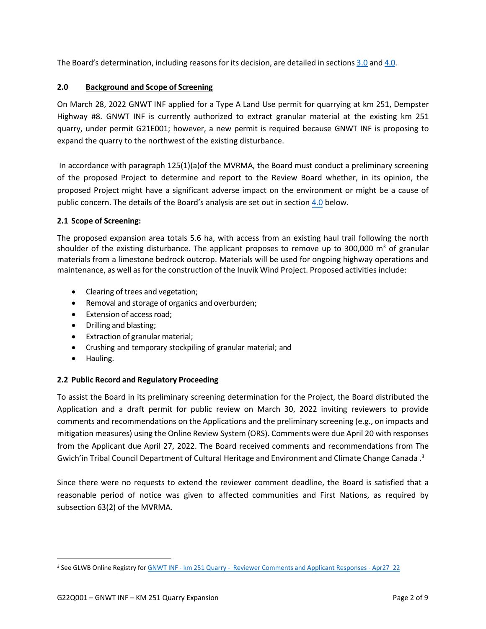The Board's determination, including reasons for its decision, are detailed in sections [3.0](#page-2-0) and 4.0.

# <span id="page-2-0"></span>**2.0 Background and Scope of Screening**

On March 28, 2022 GNWT INF applied for a Type A Land Use permit for quarrying at km 251, Dempster Highway #8. GNWT INF is currently authorized to extract granular material at the existing km 251 quarry, under permit G21E001; however, a new permit is required because GNWT INF is proposing to expand the quarry to the northwest of the existing disturbance.

In accordance with paragraph 125(1)(a)of the MVRMA, the Board must conduct a preliminary screening of the proposed Project to determine and report to the Review Board whether, in its opinion, the proposed Project might have a significant adverse impact on the environment or might be a cause of public concern. The details of the Board's analysis are set out in section 4.0 below.

# **2.1 Scope of Screening:**

The proposed expansion area totals 5.6 ha, with access from an existing haul trail following the north shoulder of the existing disturbance. The applicant proposes to remove up to 300,000  $m<sup>3</sup>$  of granular materials from a limestone bedrock outcrop. Materials will be used for ongoing highway operations and maintenance, as well as for the construction of the Inuvik Wind Project. Proposed activities include:

- Clearing of trees and vegetation;
- Removal and storage of organics and overburden;
- Extension of access road;
- Drilling and blasting;
- Extraction of granular material;
- Crushing and temporary stockpiling of granular material; and
- Hauling.

### **2.2 Public Record and Regulatory Proceeding**

To assist the Board in its preliminary screening determination for the Project, the Board distributed the Application and a draft permit for public review on March 30, 2022 inviting reviewers to provide comments and recommendations on the Applications and the preliminary screening (e.g., on impacts and mitigation measures) using the Online Review System (ORS). Comments were due April 20 with responses from the Applicant due April 27, 2022. The Board received comments and recommendations from The Gwich'in Tribal Council Department of Cultural Heritage and Environment and Climate Change Canada .3

Since there were no requests to extend the reviewer comment deadline, the Board is satisfied that a reasonable period of notice was given to affected communities and First Nations, as required by subsection 63(2) of the MVRMA.

<sup>&</sup>lt;sup>3</sup> See GLWB Online Registry for GNWT [INF - km 251 Quarry - Reviewer](http://registry.mvlwb.ca/Documents/G22Q001/GNWT%20INF%20-%20km%20251%20Quarry%20-%20%20Reviewer%20Comments%20and%20Applicant%20Responses%20-%20Apr27_22.pdf) Comments and Applicant Responses - Apr27\_22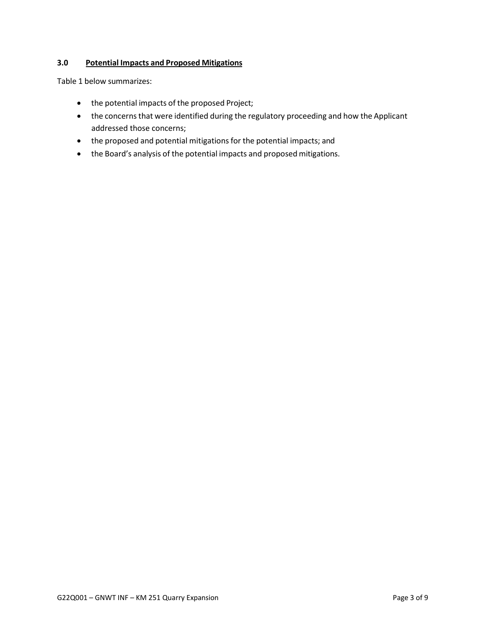# **3.0 Potential Impacts and Proposed Mitigations**

Table 1 below summarizes:

- the potential impacts of the proposed Project;
- the concerns that were identified during the regulatory proceeding and how the Applicant addressed those concerns;
- the proposed and potential mitigations for the potential impacts; and
- the Board's analysis of the potential impacts and proposed mitigations.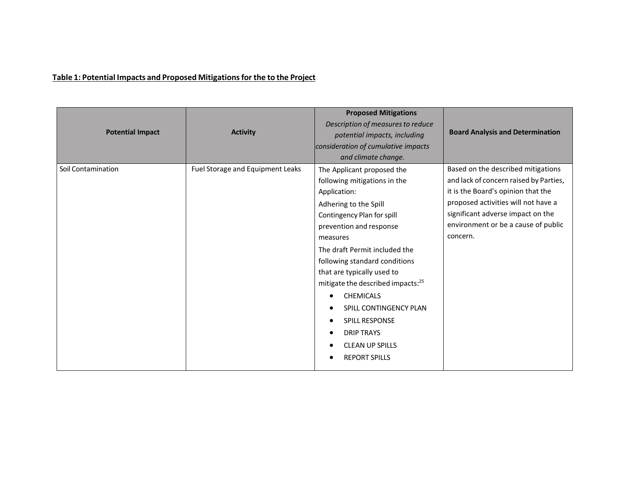# **Table 1: Potential Impacts and Proposed Mitigationsfor the to the Project**

<span id="page-4-0"></span>

| <b>Potential Impact</b> | <b>Activity</b>                  | <b>Proposed Mitigations</b><br>Description of measures to reduce<br>potential impacts, including<br>consideration of cumulative impacts<br>and climate change.                                                                                                                                                                                                                                                                                                          | <b>Board Analysis and Determination</b>                                                                                                                                                                                                           |
|-------------------------|----------------------------------|-------------------------------------------------------------------------------------------------------------------------------------------------------------------------------------------------------------------------------------------------------------------------------------------------------------------------------------------------------------------------------------------------------------------------------------------------------------------------|---------------------------------------------------------------------------------------------------------------------------------------------------------------------------------------------------------------------------------------------------|
| Soil Contamination      | Fuel Storage and Equipment Leaks | The Applicant proposed the<br>following mitigations in the<br>Application:<br>Adhering to the Spill<br>Contingency Plan for spill<br>prevention and response<br>measures<br>The draft Permit included the<br>following standard conditions<br>that are typically used to<br>mitigate the described impacts: <sup>25</sup><br><b>CHEMICALS</b><br>SPILL CONTINGENCY PLAN<br><b>SPILL RESPONSE</b><br><b>DRIP TRAYS</b><br><b>CLEAN UP SPILLS</b><br><b>REPORT SPILLS</b> | Based on the described mitigations<br>and lack of concern raised by Parties,<br>it is the Board's opinion that the<br>proposed activities will not have a<br>significant adverse impact on the<br>environment or be a cause of public<br>concern. |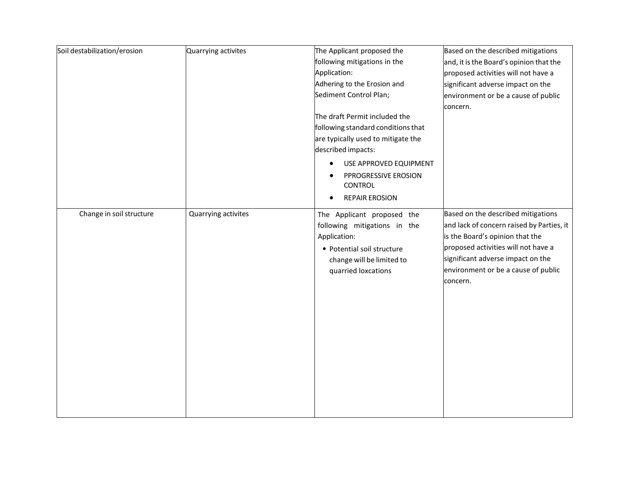| Soil destabilization/erosion | Quarrying activites | The Applicant proposed the<br>following mitigations in the<br>Application:<br>Adhering to the Erosion and<br>Sediment Control Plan;<br>The draft Permit included the<br>following standard conditions that<br>are typically used to mitigate the<br>described impacts:<br>USE APPROVED EQUIPMENT<br>$\bullet$<br>PPROGRESSIVE EROSION<br><b>CONTROL</b><br><b>REPAIR EROSION</b><br>$\bullet$ | Based on the described mitigations<br>and, it is the Board's opinion that the<br>proposed activities will not have a<br>significant adverse impact on the<br>environment or be a cause of public<br>concern.                                      |
|------------------------------|---------------------|-----------------------------------------------------------------------------------------------------------------------------------------------------------------------------------------------------------------------------------------------------------------------------------------------------------------------------------------------------------------------------------------------|---------------------------------------------------------------------------------------------------------------------------------------------------------------------------------------------------------------------------------------------------|
| Change in soil structure     | Quarrying activites | The Applicant proposed the<br>following mitigations in the<br>Application:<br>• Potential soil structure<br>change will be limited to<br>quarried loxcations                                                                                                                                                                                                                                  | Based on the described mitigations<br>and lack of concern raised by Parties, it<br>is the Board's opinion that the<br>proposed activities will not have a<br>significant adverse impact on the<br>environment or be a cause of public<br>concern. |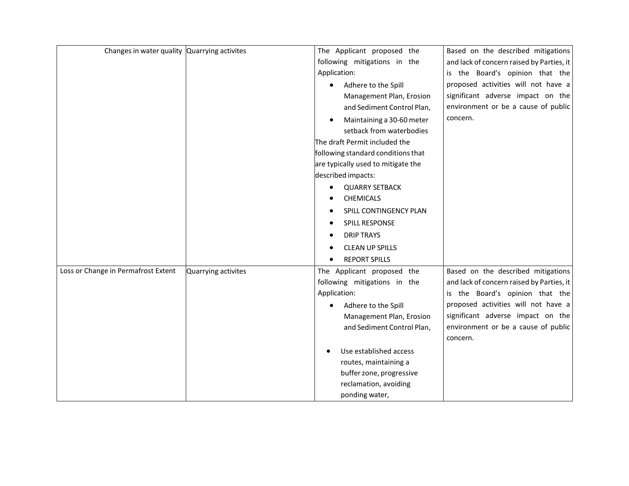| Changes in water quality Quarrying activites |                     | The Applicant proposed the         | Based on the described mitigations        |
|----------------------------------------------|---------------------|------------------------------------|-------------------------------------------|
|                                              |                     | following mitigations in the       | and lack of concern raised by Parties, it |
|                                              |                     | Application:                       | is the Board's opinion that the           |
|                                              |                     | Adhere to the Spill<br>$\bullet$   | proposed activities will not have a       |
|                                              |                     | Management Plan, Erosion           | significant adverse impact on the         |
|                                              |                     | and Sediment Control Plan,         | environment or be a cause of public       |
|                                              |                     | Maintaining a 30-60 meter          | concern.                                  |
|                                              |                     | setback from waterbodies           |                                           |
|                                              |                     | The draft Permit included the      |                                           |
|                                              |                     | following standard conditions that |                                           |
|                                              |                     | are typically used to mitigate the |                                           |
|                                              |                     | described impacts:                 |                                           |
|                                              |                     | <b>QUARRY SETBACK</b>              |                                           |
|                                              |                     | <b>CHEMICALS</b>                   |                                           |
|                                              |                     | SPILL CONTINGENCY PLAN             |                                           |
|                                              |                     | SPILL RESPONSE                     |                                           |
|                                              |                     | <b>DRIP TRAYS</b>                  |                                           |
|                                              |                     | <b>CLEAN UP SPILLS</b>             |                                           |
|                                              |                     | <b>REPORT SPILLS</b>               |                                           |
| Loss or Change in Permafrost Extent          | Quarrying activites | The Applicant proposed the         | Based on the described mitigations        |
|                                              |                     | following mitigations in the       | and lack of concern raised by Parties, it |
|                                              |                     | Application:                       | is the Board's opinion that the           |
|                                              |                     | Adhere to the Spill<br>$\bullet$   | proposed activities will not have a       |
|                                              |                     | Management Plan, Erosion           | significant adverse impact on the         |
|                                              |                     | and Sediment Control Plan,         | environment or be a cause of public       |
|                                              |                     |                                    | concern.                                  |
|                                              |                     | Use established access             |                                           |
|                                              |                     | routes, maintaining a              |                                           |
|                                              |                     | buffer zone, progressive           |                                           |
|                                              |                     | reclamation, avoiding              |                                           |
|                                              |                     | ponding water,                     |                                           |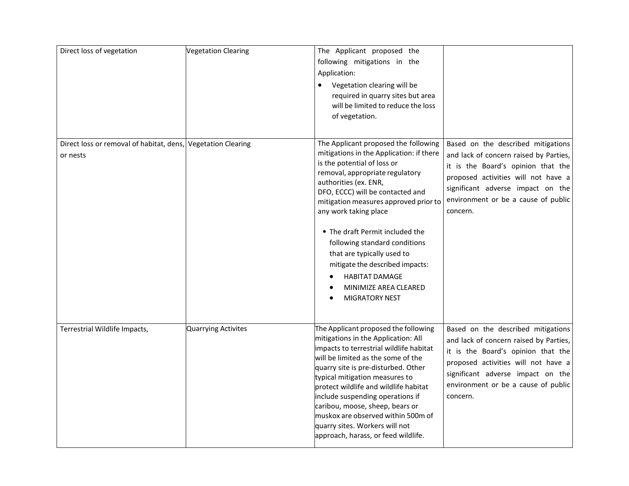| Direct loss of vegetation                                                | <b>Vegetation Clearing</b> | The Applicant proposed the<br>following mitigations in the<br>Application:<br>Vegetation clearing will be<br>$\bullet$<br>required in quarry sites but area<br>will be limited to reduce the loss<br>of vegetation.                                                                                                                                                                                                                                                                               |                                                                                                                                                                                                                                                   |
|--------------------------------------------------------------------------|----------------------------|---------------------------------------------------------------------------------------------------------------------------------------------------------------------------------------------------------------------------------------------------------------------------------------------------------------------------------------------------------------------------------------------------------------------------------------------------------------------------------------------------|---------------------------------------------------------------------------------------------------------------------------------------------------------------------------------------------------------------------------------------------------|
| Direct loss or removal of habitat, dens, Vegetation Clearing<br>or nests |                            | The Applicant proposed the following<br>mitigations in the Application: if there<br>is the potential of loss or<br>removal, appropriate regulatory<br>authorities (ex. ENR,<br>DFO, ECCC) will be contacted and<br>mitigation measures approved prior to<br>any work taking place<br>• The draft Permit included the<br>following standard conditions<br>that are typically used to<br>mitigate the described impacts:<br><b>HABITAT DAMAGE</b><br>MINIMIZE AREA CLEARED<br><b>MIGRATORY NEST</b> | Based on the described mitigations<br>and lack of concern raised by Parties,<br>it is the Board's opinion that the<br>proposed activities will not have a<br>significant adverse impact on the<br>environment or be a cause of public<br>concern. |
| Terrestrial Wildlife Impacts,                                            | <b>Quarrying Activites</b> | The Applicant proposed the following<br>mitigations in the Application: All<br>impacts to terrestrial wildlife habitat<br>will be limited as the some of the<br>quarry site is pre-disturbed. Other<br>typical mitigation measures to<br>protect wildlife and wildlife habitat<br>include suspending operations if<br>caribou, moose, sheep, bears or<br>muskox are observed within 500m of<br>quarry sites. Workers will not<br>approach, harass, or feed wildlife.                              | Based on the described mitigations<br>and lack of concern raised by Parties,<br>it is the Board's opinion that the<br>proposed activities will not have a<br>significant adverse impact on the<br>environment or be a cause of public<br>concern. |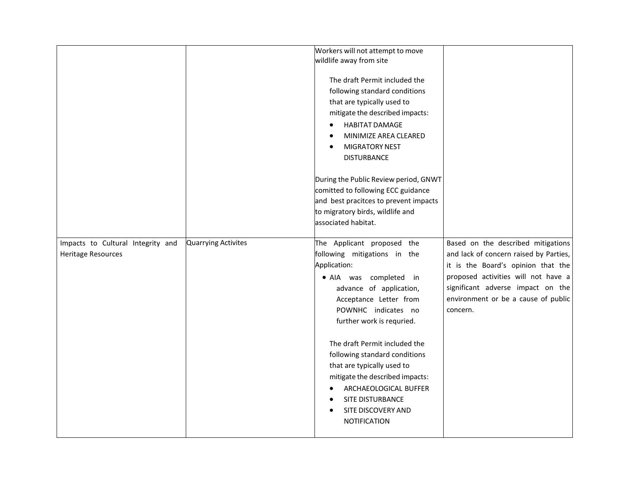|                                                         |                     | Workers will not attempt to move<br>wildlife away from site<br>The draft Permit included the<br>following standard conditions<br>that are typically used to<br>mitigate the described impacts:<br><b>HABITAT DAMAGE</b><br>$\bullet$<br>MINIMIZE AREA CLEARED<br>$\bullet$<br><b>MIGRATORY NEST</b><br>$\bullet$<br><b>DISTURBANCE</b>                                                                                                                                            |                                                                                                                                                                                                                                                   |
|---------------------------------------------------------|---------------------|-----------------------------------------------------------------------------------------------------------------------------------------------------------------------------------------------------------------------------------------------------------------------------------------------------------------------------------------------------------------------------------------------------------------------------------------------------------------------------------|---------------------------------------------------------------------------------------------------------------------------------------------------------------------------------------------------------------------------------------------------|
|                                                         |                     | During the Public Review period, GNWT<br>comitted to following ECC guidance<br>and best pracitces to prevent impacts<br>to migratory birds, wildlife and<br>associated habitat.                                                                                                                                                                                                                                                                                                   |                                                                                                                                                                                                                                                   |
| Impacts to Cultural Integrity and<br>Heritage Resources | Quarrying Activites | The Applicant proposed the<br>following mitigations in the<br>Application:<br>· AIA was completed in<br>advance of application,<br>Acceptance Letter from<br>POWNHC indicates no<br>further work is requried.<br>The draft Permit included the<br>following standard conditions<br>that are typically used to<br>mitigate the described impacts:<br>ARCHAEOLOGICAL BUFFER<br>$\bullet$<br>SITE DISTURBANCE<br>$\bullet$<br>SITE DISCOVERY AND<br>$\bullet$<br><b>NOTIFICATION</b> | Based on the described mitigations<br>and lack of concern raised by Parties,<br>it is the Board's opinion that the<br>proposed activities will not have a<br>significant adverse impact on the<br>environment or be a cause of public<br>concern. |